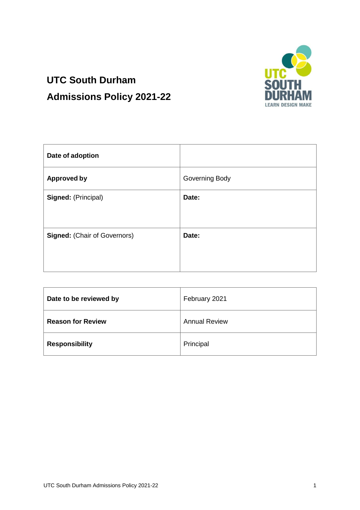

# **UTC South Durham Admissions Policy 2021-22**

| Date of adoption                    |                |
|-------------------------------------|----------------|
| <b>Approved by</b>                  | Governing Body |
| Signed: (Principal)                 | Date:          |
| <b>Signed: (Chair of Governors)</b> | Date:          |

| Date to be reviewed by   | February 2021        |
|--------------------------|----------------------|
| <b>Reason for Review</b> | <b>Annual Review</b> |
| <b>Responsibility</b>    | Principal            |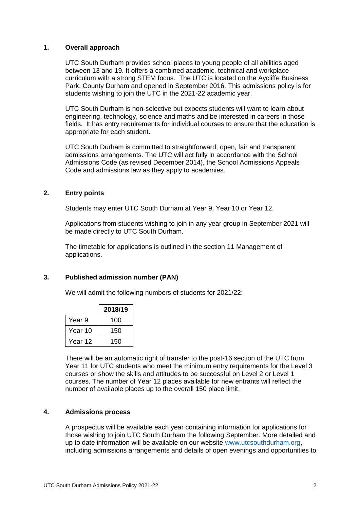## **1. Overall approach**

UTC South Durham provides school places to young people of all abilities aged between 13 and 19. It offers a combined academic, technical and workplace curriculum with a strong STEM focus. The UTC is located on the Aycliffe Business Park, County Durham and opened in September 2016. This admissions policy is for students wishing to join the UTC in the 2021-22 academic year.

UTC South Durham is non-selective but expects students will want to learn about engineering, technology, science and maths and be interested in careers in those fields. It has entry requirements for individual courses to ensure that the education is appropriate for each student.

UTC South Durham is committed to straightforward, open, fair and transparent admissions arrangements. The UTC will act fully in accordance with the School Admissions Code (as revised December 2014), the School Admissions Appeals Code and admissions law as they apply to academies.

## **2. Entry points**

Students may enter UTC South Durham at Year 9, Year 10 or Year 12.

Applications from students wishing to join in any year group in September 2021 will be made directly to UTC South Durham.

The timetable for applications is outlined in the section 11 Management of applications.

#### **3. Published admission number (PAN)**

We will admit the following numbers of students for 2021/22:

|                   | 2018/19 |
|-------------------|---------|
| Year <sub>9</sub> | 100     |
| Year 10           | 150     |
| Year 12           | 150     |

There will be an automatic right of transfer to the post-16 section of the UTC from Year 11 for UTC students who meet the minimum entry requirements for the Level 3 courses or show the skills and attitudes to be successful on Level 2 or Level 1 courses. The number of Year 12 places available for new entrants will reflect the number of available places up to the overall 150 place limit.

#### **4. Admissions process**

A prospectus will be available each year containing information for applications for those wishing to join UTC South Durham the following September. More detailed and up to date information will be available on our website [www.utcsouthdurham.org,](http://www.utcsouthdurham.org/) including admissions arrangements and details of open evenings and opportunities to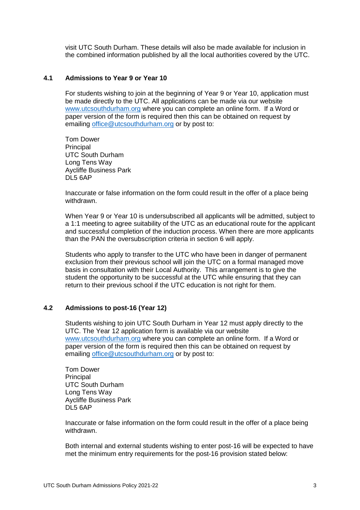visit UTC South Durham. These details will also be made available for inclusion in the combined information published by all the local authorities covered by the UTC.

## **4.1 Admissions to Year 9 or Year 10**

For students wishing to join at the beginning of Year 9 or Year 10, application must be made directly to the UTC. All applications can be made via our website [www.utcsouthdurham.org](http://www.utcsouthdurham.org/) where you can complete an online form. If a Word or paper version of the form is required then this can be obtained on request by emailing [office@utcsouthdurham.org](mailto:office@utcsouthdurham.org) or by post to:

Tom Dower **Principal** UTC South Durham Long Tens Way Aycliffe Business Park DL5 6AP

Inaccurate or false information on the form could result in the offer of a place being withdrawn.

When Year 9 or Year 10 is undersubscribed all applicants will be admitted, subject to a 1:1 meeting to agree suitability of the UTC as an educational route for the applicant and successful completion of the induction process. When there are more applicants than the PAN the oversubscription criteria in section 6 will apply.

Students who apply to transfer to the UTC who have been in danger of permanent exclusion from their previous school will join the UTC on a formal managed move basis in consultation with their Local Authority. This arrangement is to give the student the opportunity to be successful at the UTC while ensuring that they can return to their previous school if the UTC education is not right for them.

#### **4.2 Admissions to post-16 (Year 12)**

Students wishing to join UTC South Durham in Year 12 must apply directly to the UTC. The Year 12 application form is available via our website [www.utcsouthdurham.org](http://www.utcsouthdurham.org/) where you can complete an online form. If a Word or paper version of the form is required then this can be obtained on request by emailing [office@utcsouthdurham.org](mailto:office@utcsouthdurham.org) or by post to:

Tom Dower **Principal** UTC South Durham Long Tens Way Aycliffe Business Park DL5 6AP

Inaccurate or false information on the form could result in the offer of a place being withdrawn.

Both internal and external students wishing to enter post-16 will be expected to have met the minimum entry requirements for the post-16 provision stated below: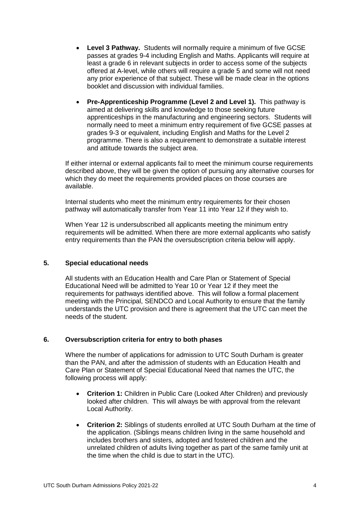- **Level 3 Pathway.** Students will normally require a minimum of five GCSE passes at grades 9-4 including English and Maths. Applicants will require at least a grade 6 in relevant subjects in order to access some of the subjects offered at A-level, while others will require a grade 5 and some will not need any prior experience of that subject. These will be made clear in the options booklet and discussion with individual families.
- **Pre-Apprenticeship Programme (Level 2 and Level 1).** This pathway is aimed at delivering skills and knowledge to those seeking future apprenticeships in the manufacturing and engineering sectors. Students will normally need to meet a minimum entry requirement of five GCSE passes at grades 9-3 or equivalent, including English and Maths for the Level 2 programme. There is also a requirement to demonstrate a suitable interest and attitude towards the subject area.

If either internal or external applicants fail to meet the minimum course requirements described above, they will be given the option of pursuing any alternative courses for which they do meet the requirements provided places on those courses are available.

Internal students who meet the minimum entry requirements for their chosen pathway will automatically transfer from Year 11 into Year 12 if they wish to.

When Year 12 is undersubscribed all applicants meeting the minimum entry requirements will be admitted. When there are more external applicants who satisfy entry requirements than the PAN the oversubscription criteria below will apply.

## **5. Special educational needs**

All students with an Education Health and Care Plan or Statement of Special Educational Need will be admitted to Year 10 or Year 12 if they meet the requirements for pathways identified above. This will follow a formal placement meeting with the Principal, SENDCO and Local Authority to ensure that the family understands the UTC provision and there is agreement that the UTC can meet the needs of the student.

## **6. Oversubscription criteria for entry to both phases**

Where the number of applications for admission to UTC South Durham is greater than the PAN, and after the admission of students with an Education Health and Care Plan or Statement of Special Educational Need that names the UTC, the following process will apply:

- **Criterion 1:** Children in Public Care (Looked After Children) and previously looked after children. This will always be with approval from the relevant Local Authority.
- **Criterion 2:** Siblings of students enrolled at UTC South Durham at the time of the application. (Siblings means children living in the same household and includes brothers and sisters, adopted and fostered children and the unrelated children of adults living together as part of the same family unit at the time when the child is due to start in the UTC).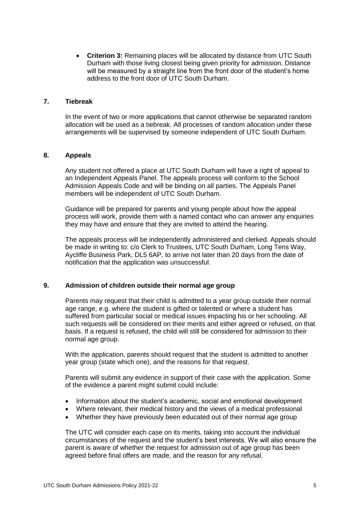**Criterion 3:** Remaining places will be allocated by distance from UTC South Durham with those living closest being given priority for admission. Distance will be measured by a straight line from the front door of the student's home address to the front door of UTC South Durham.

### **7. Tiebreak**

In the event of two or more applications that cannot otherwise be separated random allocation will be used as a tiebreak. All processes of random allocation under these arrangements will be supervised by someone independent of UTC South Durham.

## **8. Appeals**

Any student not offered a place at UTC South Durham will have a right of appeal to an Independent Appeals Panel. The appeals process will conform to the School Admission Appeals Code and will be binding on all parties. The Appeals Panel members will be independent of UTC South Durham.

Guidance will be prepared for parents and young people about how the appeal process will work, provide them with a named contact who can answer any enquiries they may have and ensure that they are invited to attend the hearing.

The appeals process will be independently administered and clerked. Appeals should be made in writing to: c/o Clerk to Trustees, UTC South Durham, Long Tens Way, Aycliffe Business Park, DL5 6AP, to arrive not later than 20 days from the date of notification that the application was unsuccessful.

## **9. Admission of children outside their normal age group**

Parents may request that their child is admitted to a year group outside their normal age range, e.g. where the student is gifted or talented or where a student has suffered from particular social or medical issues impacting his or her schooling. All such requests will be considered on their merits and either agreed or refused, on that basis. If a request is refused, the child will still be considered for admission to their normal age group.

With the application, parents should request that the student is admitted to another year group (state which one), and the reasons for that request.

Parents will submit any evidence in support of their case with the application. Some of the evidence a parent might submit could include:

- Information about the student's academic, social and emotional development
- Where relevant, their medical history and the views of a medical professional
- Whether they have previously been educated out of their normal age group

The UTC will consider each case on its merits, taking into account the individual circumstances of the request and the student's best interests. We will also ensure the parent is aware of whether the request for admission out of age group has been agreed before final offers are made, and the reason for any refusal.